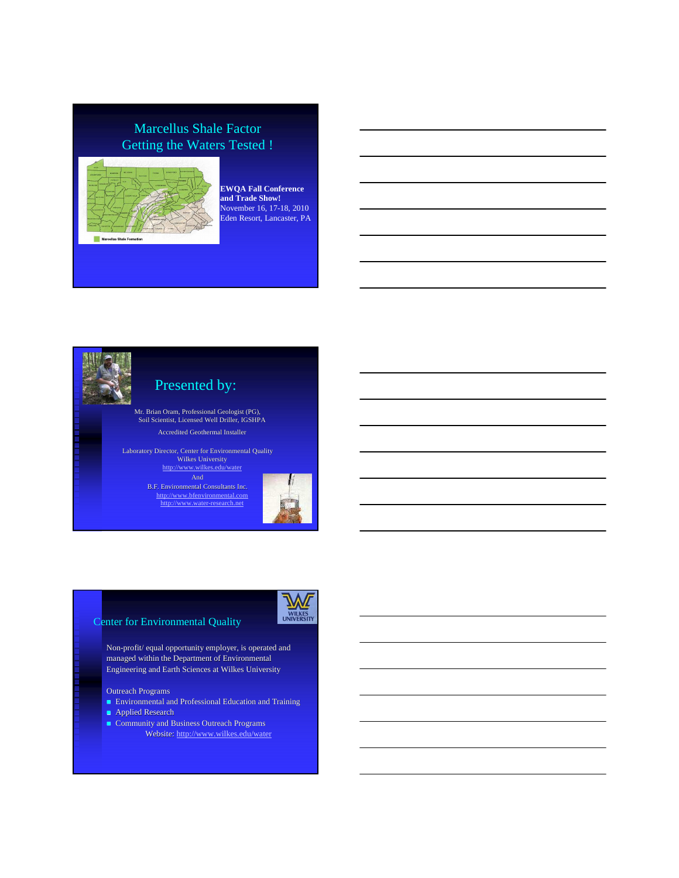# Marcellus Shale Factor Getting the Waters Tested !



**EWQA Fall Conference and Trade Show!** November 16, 17-18, 2010 Eden Resort, Lancaster, PA



# Presented by:

Mr. Brian Oram, Professional Geologist (PG), Soil Scientist, Licensed Well Driller, IGSHPA Accredited Geothermal Installer

Laboratory Director, Center for Environmental Quality Wilkes University http://www.wilkes.edu/water

B.F. Environmental Consultants Inc. http://www.bfenvironmental.com http://www.water-research.net



#### Center for Environmental Quality



Non-profit/ equal opportunity employer, is operated and managed within the Department of Environmental Engineering and Earth Sciences at Wilkes University

#### Outreach Programs

- Environmental and Professional Education and Training
- **Applied Research**
- Community and Business Outreach Programs
	- Website: http://www.wilkes.edu/water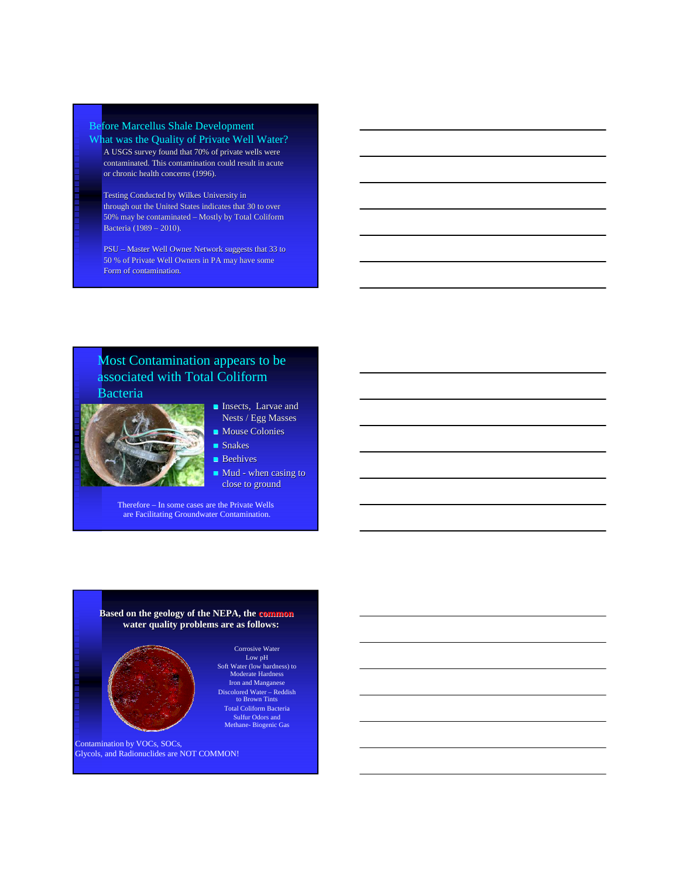#### Before Marcellus Shale Development What was the Quality of Private Well Water? A USGS survey found that 70% of private wells were

contaminated. This contamination could result in acute or chronic health concerns (1996).

Testing Conducted by Wilkes University in through out the United States indicates that 30 to over 50% may be contaminated – Mostly by Total Coliform Bacteria (1989 – 2010).

PSU – Master Well Owner Network suggests that 33 to 50 % of Private Well Owners in PA may have some Form of contamination.

### Most Contamination appears to be associated with Total Coliform Bacteria



- **Insects**, Larvae and Nests / Egg Masses
- **Mouse Colonies** Snakes
- **Beehives**
- Mud when casing to close to ground

Therefore – In some cases are the Private Wells are Facilitating Groundwater Contamination.

### **Based on the geology of the NEPA, the common water quality problems are as follows:**



Low pH Soft Water (low hardness) to Moderate Hardness Iron and Manganese Discolored Water – Reddish to Brown Tints Total Coliform Bacteria Sulfur Odors and Methane- Biogenic Gas

Corrosive Water

Contamination by VOCs, SOCs, Glycols, and Radionuclides are NOT COMMON!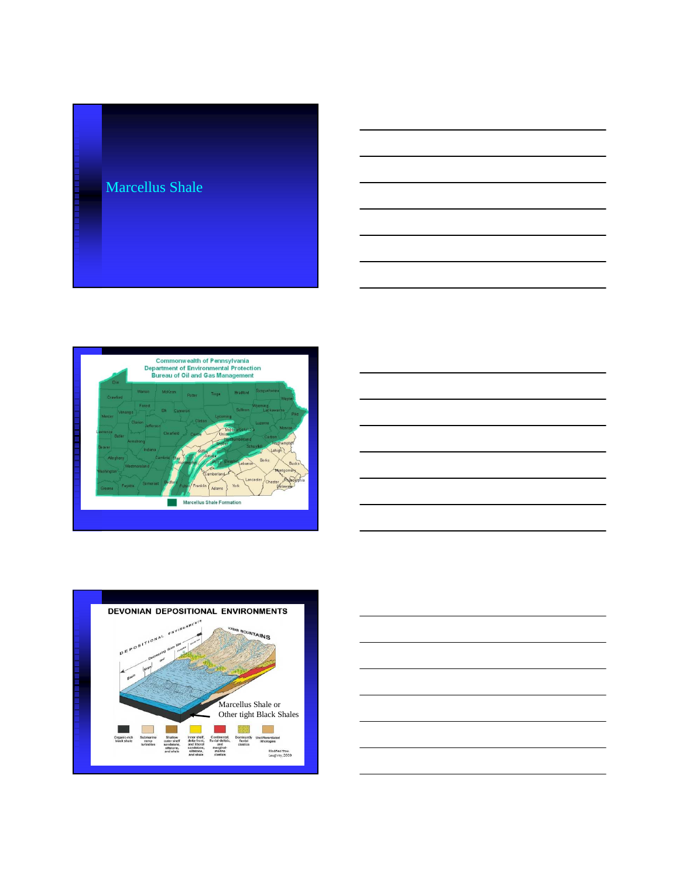





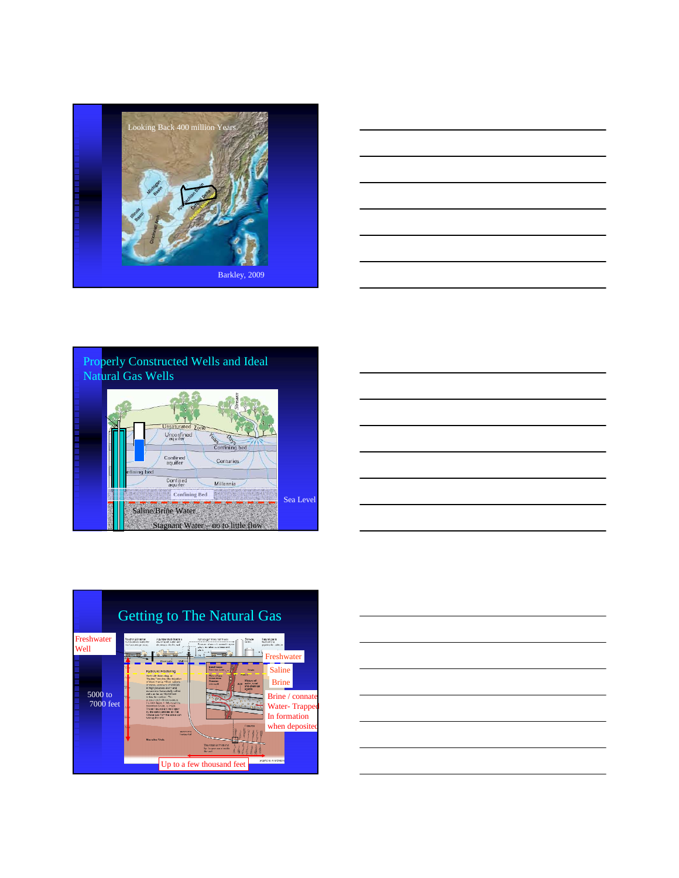









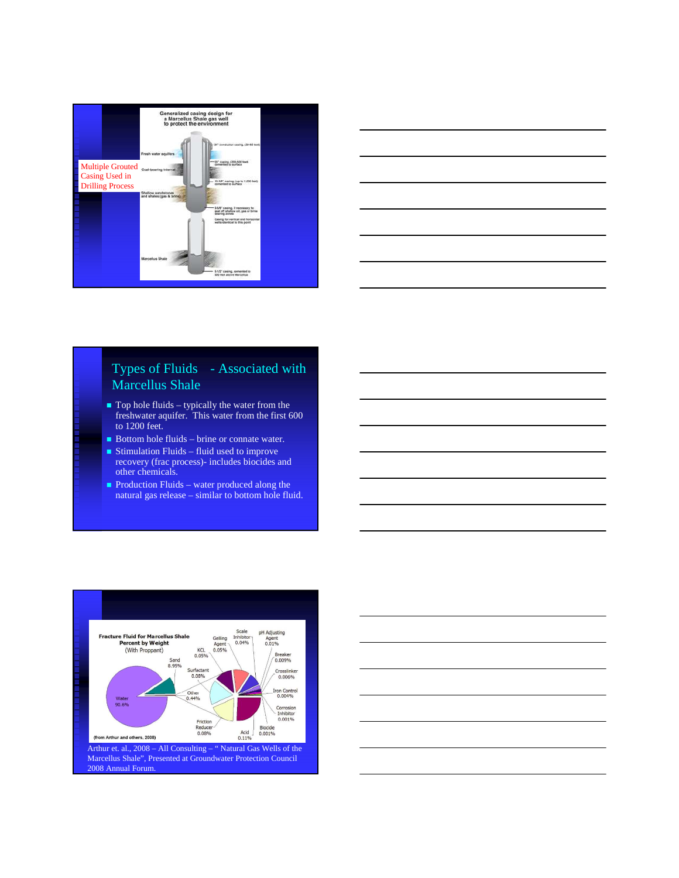



### Types of Fluids - Associated with Marcellus Shale

- $\blacksquare$  Top hole fluids typically the water from the freshwater aquifer. This water from the first 600 to 1200 feet.
- Bottom hole fluids brine or connate water.
- Stimulation Fluids fluid used to improve recovery (frac process)- includes biocides and other chemicals.
- Production Fluids water produced along the natural gas release – similar to bottom hole fluid.



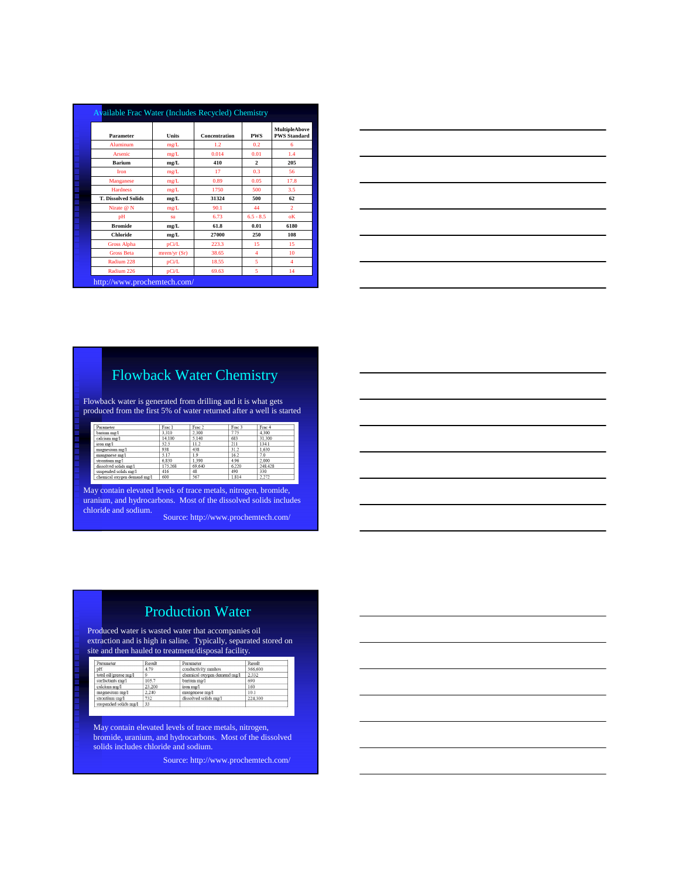|                                      | <b>Available Frac Water (Includes Recycled) Chemistry</b> |               |              |                                             |  |  |  |  |
|--------------------------------------|-----------------------------------------------------------|---------------|--------------|---------------------------------------------|--|--|--|--|
| Parameter                            | Units                                                     | Concentration | <b>PWS</b>   | <b>MultipleAbove</b><br><b>PWS Standard</b> |  |  |  |  |
| Aluminum                             | mg/L                                                      | 1.2           | 0.2          | 6                                           |  |  |  |  |
| Arsenic                              | mg/L                                                      | 0.014         | 0.01         | 1.4                                         |  |  |  |  |
| <b>Barium</b>                        | mg/L                                                      | 410           | $\mathbf{2}$ | 205                                         |  |  |  |  |
| <b>Iron</b>                          | mg/L                                                      | 17            | 0.3          | 56                                          |  |  |  |  |
| Manganese                            | mg/L                                                      | 0.89          | 0.05         | 17.8                                        |  |  |  |  |
| ÿ,<br><b>Hardness</b>                | mg/L                                                      | 1750          | 500          | 3.5                                         |  |  |  |  |
| Ø<br><b>T. Dissolved Solids</b><br>Ø | mg/L                                                      | 31324         | 500          | 62                                          |  |  |  |  |
| W.<br>Nirate @ N                     | mg/L                                                      | 90.1          | 44           | $\mathcal{D}$                               |  |  |  |  |
| pH                                   | su                                                        | 6.73          | $6.5 - 8.5$  | oK                                          |  |  |  |  |
| <b>Bromide</b>                       | mg/L                                                      | 61.8          | 0.01         | 6180                                        |  |  |  |  |
| <b>Chloride</b>                      | mg/L                                                      | 27000         | 250          | 108                                         |  |  |  |  |
| <b>Gross Alpha</b>                   | pCi/L                                                     | 223.3         | 15           | 15                                          |  |  |  |  |
| <b>Gross Beta</b>                    | mrem/yr(Sr)                                               | 38.65         | 4            | 10                                          |  |  |  |  |
| Radium 228                           | pCi/L                                                     | 18.55         | 5            | $\overline{4}$                              |  |  |  |  |
| Radium 226                           | pCi/L                                                     | 69.63         | 5            | 14                                          |  |  |  |  |
|                                      | http://www.prochemtech.com/                               |               |              |                                             |  |  |  |  |



# Flowback Water Chemistry

Flowback water is generated from drilling and it is what gets produced from the first 5% of water returned after a well is started

| Parameter                   | Frac 1  | Frac 2 | Frac 3 | Frac 4  |
|-----------------------------|---------|--------|--------|---------|
| barium mg/l                 | 3.310   | 2.300  | 7.75   | 4.300   |
| calcium mg/l                | 14.100  | 5,140  | 683    | 31.300  |
| iron mg/l                   | 52.5    | 11.2   | 211    | 134.1   |
| magnesium mg/l              | 938     | 438    | 31.2   | 1.630   |
| manganese mg/l              | 5.17    | 1.9    | 16.2   | 7.0     |
| strontium mg/l              | 6.830   | 1.390  | 4.96   | 2.000   |
| dissolved solids mg/l       | 175.268 | 69.640 | 6.220  | 248,428 |
| suspended solids mg/l       | 416     | 48     | 490    | 330     |
| chemical oxygen demand mg/l | 600     | 567    | 1 814  | 222     |

May contain elevated levels of trace metals, nitrogen, bromide, uranium, and hydrocarbons. Most of the dissolved solids includes chloride and sodium. Source: http://www.prochemtech.com/

# Production Water

Produced water is wasted water that accompanies oil extraction and is high in saline. Typically, separated stored on site and then hauled to treatment/disposal facility.

| Parameter             | Result | Parameter                   | Result  |
|-----------------------|--------|-----------------------------|---------|
| υH                    | 4.79   | conductivity mmhos          | 366.600 |
| total oil/grease mg/l |        | chemical oxygen demand mg/l | 2.332   |
| surfactants mg/l      | 105.7  | barium mg/l                 | 690     |
| calcium mg/l          | 23.200 | iron mg/l                   | 160     |
| magnesium mg/l        | 2.240  | manganese mg/l              | 10.1    |
| strontium mg/l        | 732    | dissolved solids ma/l       | 224,300 |
| suspended solids mg/l | 33     |                             |         |

May contain elevated levels of trace metals, nitrogen, bromide, uranium, and hydrocarbons. Most of the dissolved solids includes chloride and sodium.

Source: http://www.prochemtech.com/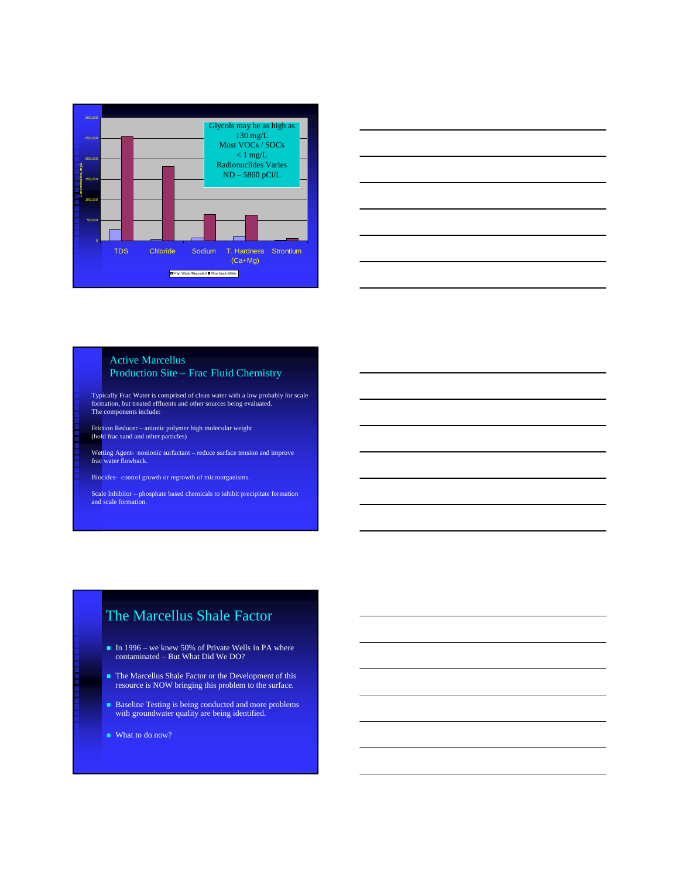



#### Active Marcellus Production Site – Frac Fluid Chemistry

Typically Frac Water is comprised of clean water with a low probably for scale formation, but treated effluents and other sources being evaluated. The components include:

Friction Reducer – anionic polymer high molecular weight (hold frac sand and other particles)

Wetting Agent- nonionic surfactant – reduce surface tension and improve frac water flowback.

Biocides- control growth or regrowth of microorganisms.

Scale Inhibitor – phosphate based chemicals to inhibit precipitate formation and scale formation.

# The Marcellus Shale Factor

- In 1996 we knew 50% of Private Wells in PA where contaminated – But What Did We DO?
- The Marcellus Shale Factor or the Development of this resource is NOW bringing this problem to the surface.
- Baseline Testing is being conducted and more problems with groundwater quality are being identified.
- What to do now?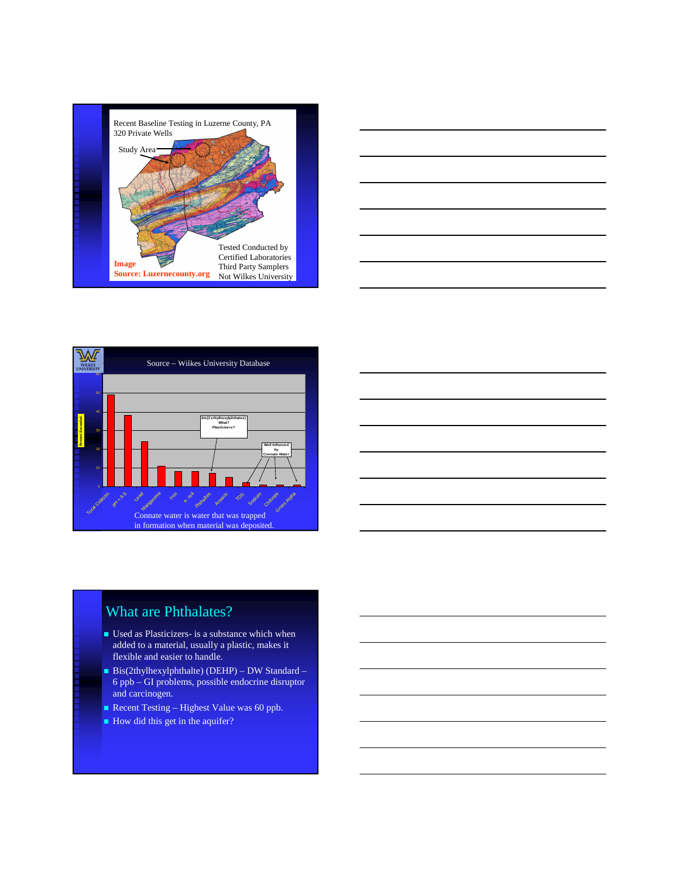







# What are Phthalates?

- Used as Plasticizers- is a substance which when added to a material, usually a plastic, makes it flexible and easier to handle.
- $\blacksquare$  Bis(2thylhexylphthalte) (DEHP) DW Standard 6 ppb – GI problems, possible endocrine disruptor and carcinogen.
- Recent Testing Highest Value was 60 ppb.
- How did this get in the aquifer?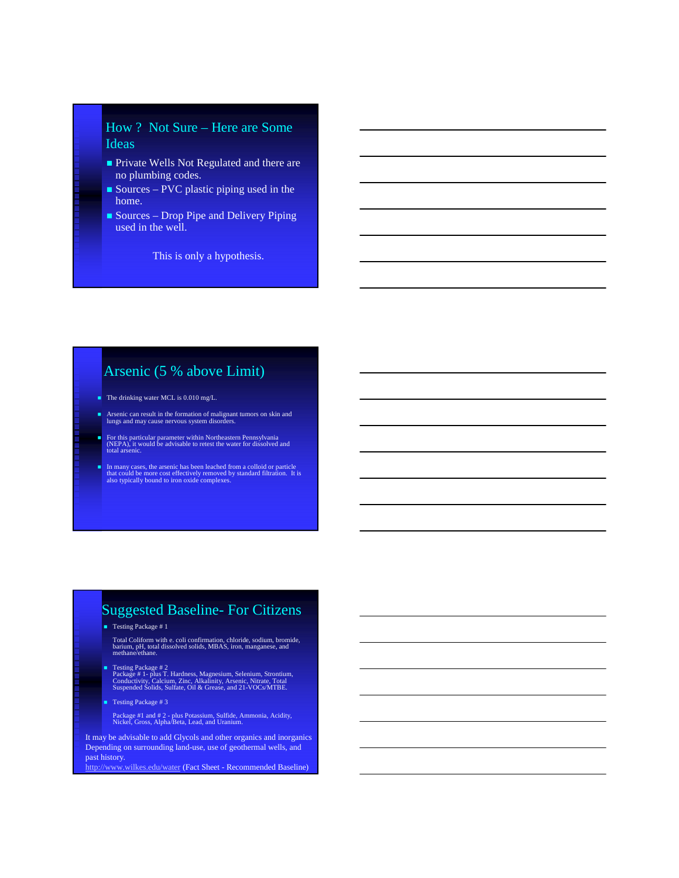#### How ? Not Sure – Here are Some Ideas

- **Private Wells Not Regulated and there are** no plumbing codes.
- Sources PVC plastic piping used in the home.
- Sources Drop Pipe and Delivery Piping used in the well.

This is only a hypothesis.

### Arsenic (5 % above Limit)

- $\blacksquare$  The drinking water MCL is 0.010 mg/L.
- Arsenic can result in the formation of malignant tumors on skin and lungs and may cause nervous system disorders.
- For this particular parameter within Northeastern Pennsylvania (NEPA), it would be advisable to retest the water for dissolved and total arsenic.
- In many cases, the arsenic has been leached from a colloid or particle that could be more cost effectively removed by standard filtration. It is also typically bound to iron oxide complexes.

#### Suggested Baseline- For Citizens

■ Testing Package # 1

Total Coliform with e. coli confirmation, chloride, sodium, bromide, barium, pH, total dissolved solids, MBAS, iron, manganese, and methane/ethane.

Testing Package # 2 Package # 1- plus T. Hardness, Magnesium, Selenium, Strontium, Conductivity, Calcium, Zinc, Alkalinity, Arsenic, Nitrate, Total Suspended Solids, Sulfate, Oil & Grease, and 21-VOCs/MTBE.

Testing Package # 3

Package #1 and # 2 - plus Potassium, Sulfide, Ammonia, Acidity, Nickel, Gross, Alpha/Beta, Lead, and Uranium.

It may be advisable to add Glycols and other organics and inorganics Depending on surrounding land-use, use of geothermal wells, and past history.

http://www.wilkes.edu/water (Fact Sheet - Recommended Baseline)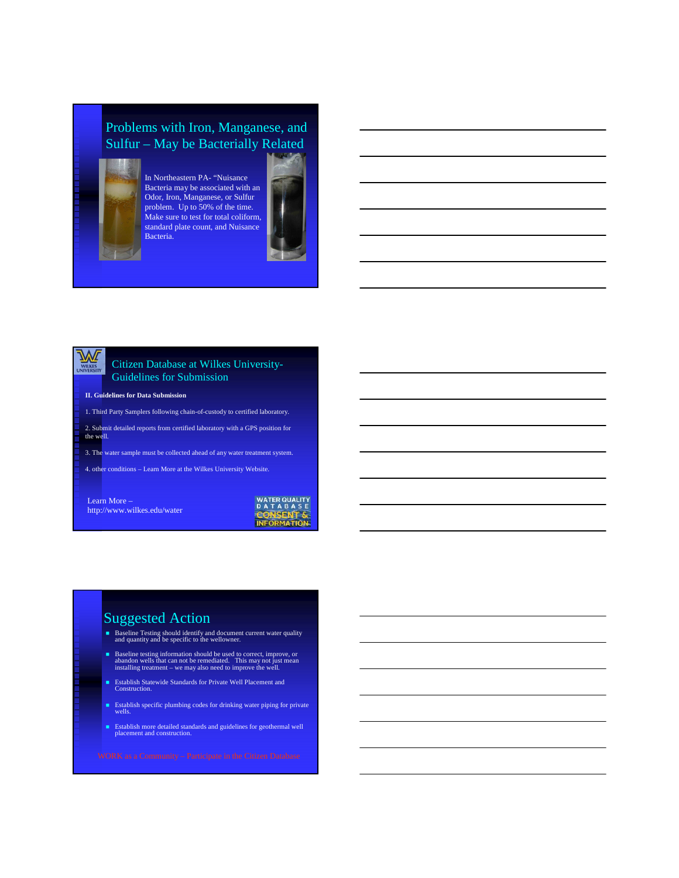### Problems with Iron, Manganese, and Sulfur – May be Bacterially Related



In Northeastern PA- "Nuisance Bacteria may be associated with an Odor, Iron, Manganese, or Sulfur problem. Up to 50% of the time. Make sure to test for total coliform, standard plate count, and Nuisance Bacteria.



# WILKES

#### Citizen Database at Wilkes University-Guidelines for Submission

#### **II. Guidelines for Data Submission**

- 1. Third Party Samplers following chain-of-custody to certified laboratory.
- 2. Submit detailed reports from certified laboratory with a GPS position for the well.
- 
- 3. The water sample must be collected ahead of any water treatment system.
- 4. other conditions Learn More at the Wilkes University Website.

Learn More – http://www.wilkes.edu/water



### Suggested Action

- Baseline Testing should identify and document current water quality and quantity and be specific to the wellowner.
- Baseline testing information should be used to correct, improve, or abandon wells that can not be remediated. This may not just mean installing treatment we may also need to improve the well.
- Establish Statewide Standards for Private Well Placement and Construction.
- Establish specific plumbing codes for drinking water piping for private wells.
- Establish more detailed standards and guidelines for geothermal well placement and construction.